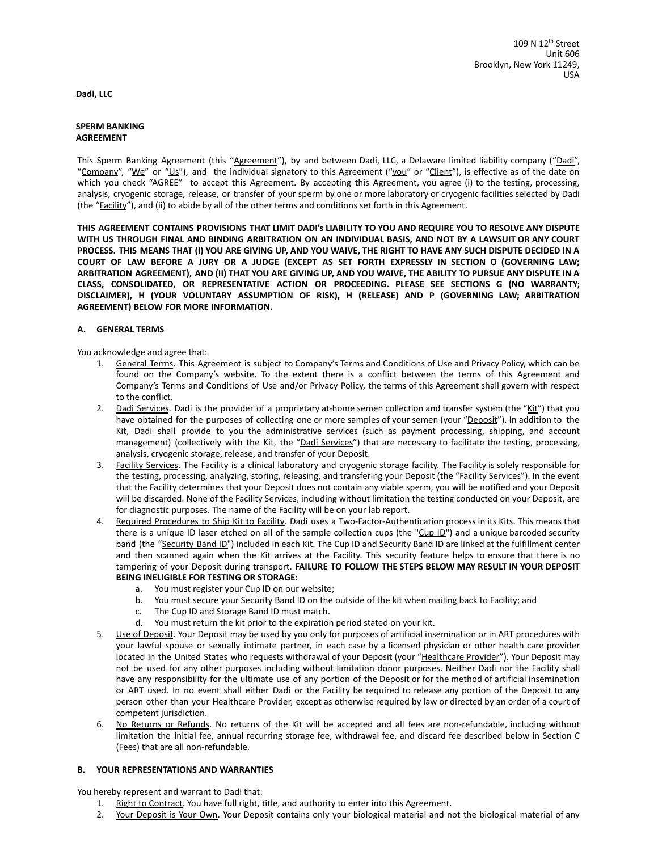**Dadi, LLC**

#### **SPERM BANKING AGREEMENT**

This Sperm Banking Agreement (this "Agreement"), by and between Dadi, LLC, a Delaware limited liability company ("Dadi", "Company", "We" or "Us"), and the individual signatory to this Agreement ("you" or "Client"), is effective as of the date on which you check "AGREE" to accept this Agreement. By accepting this Agreement, you agree (i) to the testing, processing, analysis, cryogenic storage, release, or transfer of your sperm by one or more laboratory or cryogenic facilities selected by Dadi (the "Facility"), and (ii) to abide by all of the other terms and conditions set forth in this Agreement.

THIS AGREEMENT CONTAINS PROVISIONS THAT LIMIT DADI'S LIABILITY TO YOU AND REQUIRE YOU TO RESOLVE ANY DISPUTE WITH US THROUGH FINAL AND BINDING ARBITRATION ON AN INDIVIDUAL BASIS, AND NOT BY A LAWSUIT OR ANY COURT PROCESS. THIS MEANS THAT (I) YOU ARE GIVING UP, AND YOU WAIVE, THE RIGHT TO HAVE ANY SUCH DISPUTE DECIDED IN A COURT OF LAW BEFORE A JURY OR A JUDGE (EXCEPT AS SET FORTH EXPRESSLY IN SECTION O (GOVERNING LAW; ARBITRATION AGREEMENT), AND (II) THAT YOU ARE GIVING UP, AND YOU WAIVE, THE ABILITY TO PURSUE ANY DISPUTE IN A **CLASS, CONSOLIDATED, OR REPRESENTATIVE ACTION OR PROCEEDING. PLEASE SEE SECTIONS G (NO WARRANTY; DISCLAIMER), H (YOUR VOLUNTARY ASSUMPTION OF RISK), H (RELEASE) AND P (GOVERNING LAW; ARBITRATION AGREEMENT) BELOW FOR MORE INFORMATION.**

## **A. GENERAL TERMS**

You acknowledge and agree that:

- 1. General Terms. This Agreement is subject to Company's Terms and Conditions of Use and Privacy Policy, which can be found on the Company's website. To the extent there is a conflict between the terms of this Agreement and Company's Terms and Conditions of Use and/or Privacy Policy, the terms of this Agreement shall govern with respect to the conflict.
- 2. Dadi Services. Dadi is the provider of a proprietary at-home semen collection and transfer system (the "Kit") that you have obtained for the purposes of collecting one or more samples of your semen (your "Deposit"). In addition to the Kit, Dadi shall provide to you the administrative services (such as payment processing, shipping, and account management) (collectively with the Kit, the "Dadi Services") that are necessary to facilitate the testing, processing, analysis, cryogenic storage, release, and transfer of your Deposit.
- 3. Facility Services. The Facility is a clinical laboratory and cryogenic storage facility. The Facility is solely responsible for the testing, processing, analyzing, storing, releasing, and transfering your Deposit (the "Facility Services"). In the event that the Facility determines that your Deposit does not contain any viable sperm, you will be notified and your Deposit will be discarded. None of the Facility Services, including without limitation the testing conducted on your Deposit, are for diagnostic purposes. The name of the Facility will be on your lab report.
- 4. Required Procedures to Ship Kit to Facility. Dadi uses a Two-Factor-Authentication process in its Kits. This means that there is a unique ID laser etched on all of the sample collection cups (the "Cup ID") and a unique barcoded security band (the "Security Band ID") included in each Kit. The Cup ID and Security Band ID are linked at the fulfillment center and then scanned again when the Kit arrives at the Facility. This security feature helps to ensure that there is no tampering of your Deposit during transport. **FAILURE TO FOLLOW THE STEPS BELOW MAY RESULT IN YOUR DEPOSIT BEING INELIGIBLE FOR TESTING OR STORAGE:**
	- a. You must register your Cup ID on our website;
	- b. You must secure your Security Band ID on the outside of the kit when mailing back to Facility; and
	- c. The Cup ID and Storage Band ID must match.
	- d. You must return the kit prior to the expiration period stated on your kit.
- 5. Use of Deposit. Your Deposit may be used by you only for purposes of artificial insemination or in ART procedures with your lawful spouse or sexually intimate partner, in each case by a licensed physician or other health care provider located in the United States who requests withdrawal of your Deposit (your "Healthcare Provider"). Your Deposit may not be used for any other purposes including without limitation donor purposes. Neither Dadi nor the Facility shall have any responsibility for the ultimate use of any portion of the Deposit or for the method of artificial insemination or ART used. In no event shall either Dadi or the Facility be required to release any portion of the Deposit to any person other than your Healthcare Provider, except as otherwise required by law or directed by an order of a court of competent jurisdiction.
- 6. No Returns or Refunds. No returns of the Kit will be accepted and all fees are non-refundable, including without limitation the initial fee, annual recurring storage fee, withdrawal fee, and discard fee described below in Section C (Fees) that are all non-refundable.

### **B. YOUR REPRESENTATIONS AND WARRANTIES**

You hereby represent and warrant to Dadi that:

- 1. Right to Contract. You have full right, title, and authority to enter into this Agreement.
- 2. Your Deposit is Your Own. Your Deposit contains only your biological material and not the biological material of any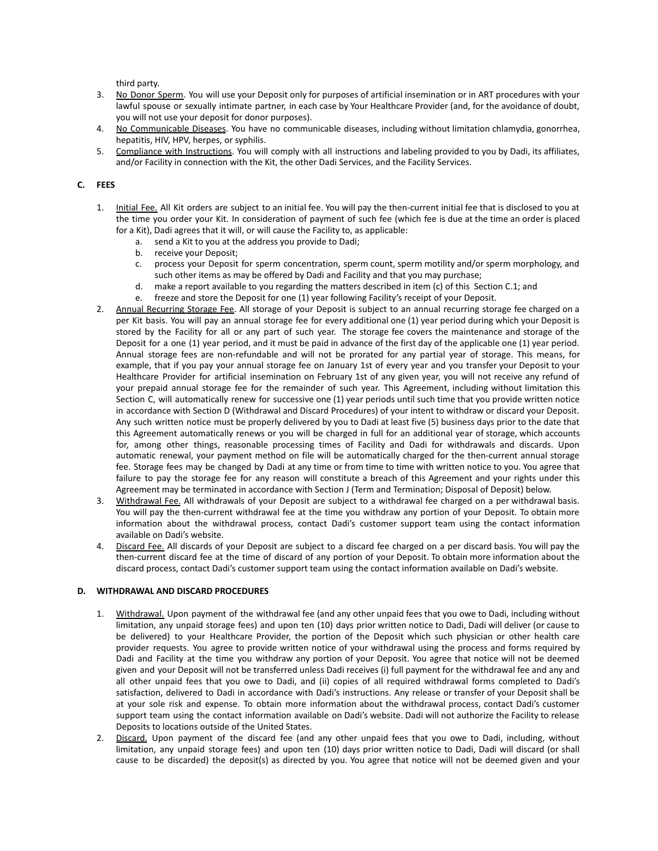third party.

- 3. No Donor Sperm. You will use your Deposit only for purposes of artificial insemination or in ART procedures with your lawful spouse or sexually intimate partner, in each case by Your Healthcare Provider (and, for the avoidance of doubt, you will not use your deposit for donor purposes).
- 4. No Communicable Diseases. You have no communicable diseases, including without limitation chlamydia, gonorrhea, hepatitis, HIV, HPV, herpes, or syphilis.
- 5. Compliance with Instructions. You will comply with all instructions and labeling provided to you by Dadi, its affiliates, and/or Facility in connection with the Kit, the other Dadi Services, and the Facility Services.

## **C. FEES**

- 1. Initial Fee. All Kit orders are subject to an initial fee. You will pay the then-current initial fee that is disclosed to you at the time you order your Kit. In consideration of payment of such fee (which fee is due at the time an order is placed for a Kit), Dadi agrees that it will, or will cause the Facility to, as applicable:
	- a. send a Kit to you at the address you provide to Dadi;
	- b. receive your Deposit;
	- c. process your Deposit for sperm concentration, sperm count, sperm motility and/or sperm morphology, and such other items as may be offered by Dadi and Facility and that you may purchase;
	- d. make a report available to you regarding the matters described in item (c) of this Section C.1; and
	- e. freeze and store the Deposit for one (1) year following Facility's receipt of your Deposit.
- 2. Annual Recurring Storage Fee. All storage of your Deposit is subject to an annual recurring storage fee charged on a per Kit basis. You will pay an annual storage fee for every additional one (1) year period during which your Deposit is stored by the Facility for all or any part of such year. The storage fee covers the maintenance and storage of the Deposit for a one (1) year period, and it must be paid in advance of the first day of the applicable one (1) year period. Annual storage fees are non-refundable and will not be prorated for any partial year of storage. This means, for example, that if you pay your annual storage fee on January 1st of every year and you transfer your Deposit to your Healthcare Provider for artificial insemination on February 1st of any given year, you will not receive any refund of your prepaid annual storage fee for the remainder of such year. This Agreement, including without limitation this Section C, will automatically renew for successive one (1) year periods until such time that you provide written notice in accordance with Section D (Withdrawal and Discard Procedures) of your intent to withdraw or discard your Deposit. Any such written notice must be properly delivered by you to Dadi at least five (5) business days prior to the date that this Agreement automatically renews or you will be charged in full for an additional year of storage, which accounts for, among other things, reasonable processing times of Facility and Dadi for withdrawals and discards. Upon automatic renewal, your payment method on file will be automatically charged for the then-current annual storage fee. Storage fees may be changed by Dadi at any time or from time to time with written notice to you. You agree that failure to pay the storage fee for any reason will constitute a breach of this Agreement and your rights under this Agreement may be terminated in accordance with Section J (Term and Termination; Disposal of Deposit) below.
- 3. Withdrawal Fee. All withdrawals of your Deposit are subject to a withdrawal fee charged on a per withdrawal basis. You will pay the then-current withdrawal fee at the time you withdraw any portion of your Deposit. To obtain more information about the withdrawal process, contact Dadi's customer support team using the contact information available on Dadi's website.
- 4. Discard Fee. All discards of your Deposit are subject to a discard fee charged on a per discard basis. You will pay the then-current discard fee at the time of discard of any portion of your Deposit. To obtain more information about the discard process, contact Dadi's customer support team using the contact information available on Dadi's website.

### **D. WITHDRAWAL AND DISCARD PROCEDURES**

- 1. Withdrawal. Upon payment of the withdrawal fee (and any other unpaid fees that you owe to Dadi, including without limitation, any unpaid storage fees) and upon ten (10) days prior written notice to Dadi, Dadi will deliver (or cause to be delivered) to your Healthcare Provider, the portion of the Deposit which such physician or other health care provider requests. You agree to provide written notice of your withdrawal using the process and forms required by Dadi and Facility at the time you withdraw any portion of your Deposit. You agree that notice will not be deemed given and your Deposit will not be transferred unless Dadi receives (i) full payment for the withdrawal fee and any and all other unpaid fees that you owe to Dadi, and (ii) copies of all required withdrawal forms completed to Dadi's satisfaction, delivered to Dadi in accordance with Dadi's instructions. Any release or transfer of your Deposit shall be at your sole risk and expense. To obtain more information about the withdrawal process, contact Dadi's customer support team using the contact information available on Dadi's website. Dadi will not authorize the Facility to release Deposits to locations outside of the United States.
- 2. Discard. Upon payment of the discard fee (and any other unpaid fees that you owe to Dadi, including, without limitation, any unpaid storage fees) and upon ten (10) days prior written notice to Dadi, Dadi will discard (or shall cause to be discarded) the deposit(s) as directed by you. You agree that notice will not be deemed given and your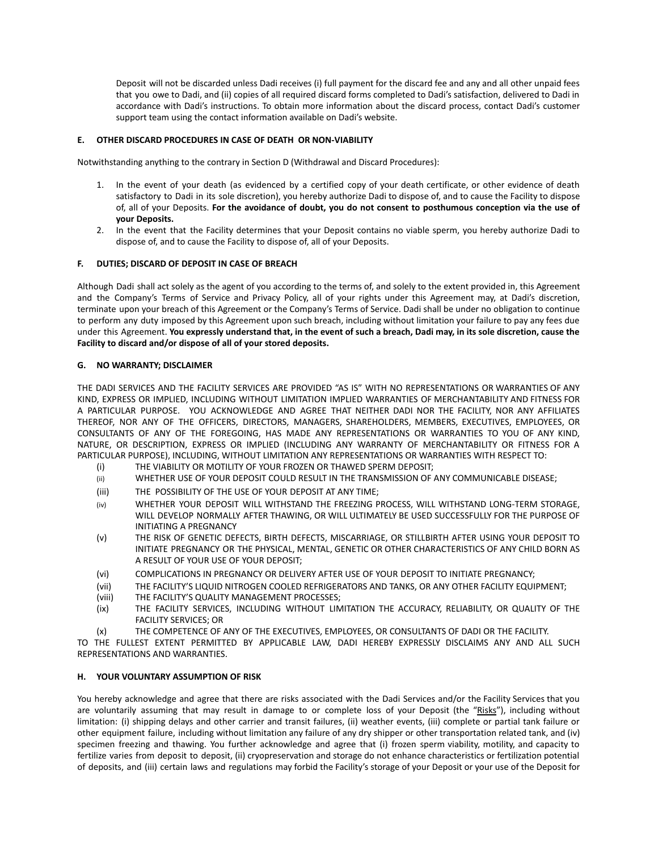Deposit will not be discarded unless Dadi receives (i) full payment for the discard fee and any and all other unpaid fees that you owe to Dadi, and (ii) copies of all required discard forms completed to Dadi's satisfaction, delivered to Dadi in accordance with Dadi's instructions. To obtain more information about the discard process, contact Dadi's customer support team using the contact information available on Dadi's website.

# **E. OTHER DISCARD PROCEDURES IN CASE OF DEATH OR NON-VIABILITY**

Notwithstanding anything to the contrary in Section D (Withdrawal and Discard Procedures):

- 1. In the event of your death (as evidenced by a certified copy of your death certificate, or other evidence of death satisfactory to Dadi in its sole discretion), you hereby authorize Dadi to dispose of, and to cause the Facility to dispose of, all of your Deposits. **For the avoidance of doubt, you do not consent to posthumous conception via the use of your Deposits.**
- 2. In the event that the Facility determines that your Deposit contains no viable sperm, you hereby authorize Dadi to dispose of, and to cause the Facility to dispose of, all of your Deposits.

## **F. DUTIES; DISCARD OF DEPOSIT IN CASE OF BREACH**

Although Dadi shall act solely as the agent of you according to the terms of, and solely to the extent provided in, this Agreement and the Company's Terms of Service and Privacy Policy, all of your rights under this Agreement may, at Dadi's discretion, terminate upon your breach of this Agreement or the Company's Terms of Service. Dadi shall be under no obligation to continue to perform any duty imposed by this Agreement upon such breach, including without limitation your failure to pay any fees due under this Agreement. You expressly understand that, in the event of such a breach, Dadi may, in its sole discretion, cause the **Facility to discard and/or dispose of all of your stored deposits.**

### **G. NO WARRANTY; DISCLAIMER**

THE DADI SERVICES AND THE FACILITY SERVICES ARE PROVIDED "AS IS" WITH NO REPRESENTATIONS OR WARRANTIES OF ANY KIND, EXPRESS OR IMPLIED, INCLUDING WITHOUT LIMITATION IMPLIED WARRANTIES OF MERCHANTABILITY AND FITNESS FOR A PARTICULAR PURPOSE. YOU ACKNOWLEDGE AND AGREE THAT NEITHER DADI NOR THE FACILITY, NOR ANY AFFILIATES THEREOF, NOR ANY OF THE OFFICERS, DIRECTORS, MANAGERS, SHAREHOLDERS, MEMBERS, EXECUTIVES, EMPLOYEES, OR CONSULTANTS OF ANY OF THE FOREGOING, HAS MADE ANY REPRESENTATIONS OR WARRANTIES TO YOU OF ANY KIND, NATURE, OR DESCRIPTION, EXPRESS OR IMPLIED (INCLUDING ANY WARRANTY OF MERCHANTABILITY OR FITNESS FOR A PARTICULAR PURPOSE), INCLUDING, WITHOUT LIMITATION ANY REPRESENTATIONS OR WARRANTIES WITH RESPECT TO:

- (i) THE VIABILITY OR MOTILITY OF YOUR FROZEN OR THAWED SPERM DEPOSIT;
- (ii) WHETHER USE OF YOUR DEPOSIT COULD RESULT IN THE TRANSMISSION OF ANY COMMUNICABLE DISEASE;
- (iii) THE POSSIBILITY OF THE USE OF YOUR DEPOSIT AT ANY TIME;
- (iv) WHETHER YOUR DEPOSIT WILL WITHSTAND THE FREEZING PROCESS, WILL WITHSTAND LONG-TERM STORAGE, WILL DEVELOP NORMALLY AFTER THAWING, OR WILL ULTIMATELY BE USED SUCCESSFULLY FOR THE PURPOSE OF INITIATING A PREGNANCY
- (v) THE RISK OF GENETIC DEFECTS, BIRTH DEFECTS, MISCARRIAGE, OR STILLBIRTH AFTER USING YOUR DEPOSIT TO INITIATE PREGNANCY OR THE PHYSICAL, MENTAL, GENETIC OR OTHER CHARACTERISTICS OF ANY CHILD BORN AS A RESULT OF YOUR USE OF YOUR DEPOSIT;
- (vi) COMPLICATIONS IN PREGNANCY OR DELIVERY AFTER USE OF YOUR DEPOSIT TO INITIATE PREGNANCY;
- (vii) THE FACILITY'S LIQUID NITROGEN COOLED REFRIGERATORS AND TANKS, OR ANY OTHER FACILITY EQUIPMENT;
- (viii) THE FACILITY'S QUALITY MANAGEMENT PROCESSES;
- (ix) THE FACILITY SERVICES, INCLUDING WITHOUT LIMITATION THE ACCURACY, RELIABILITY, OR QUALITY OF THE FACILITY SERVICES; OR
- (x) THE COMPETENCE OF ANY OF THE EXECUTIVES, EMPLOYEES, OR CONSULTANTS OF DADI OR THE FACILITY.

TO THE FULLEST EXTENT PERMITTED BY APPLICABLE LAW, DADI HEREBY EXPRESSLY DISCLAIMS ANY AND ALL SUCH REPRESENTATIONS AND WARRANTIES.

### **H. YOUR VOLUNTARY ASSUMPTION OF RISK**

You hereby acknowledge and agree that there are risks associated with the Dadi Services and/or the Facility Services that you are voluntarily assuming that may result in damage to or complete loss of your Deposit (the "Risks"), including without limitation: (i) shipping delays and other carrier and transit failures, (ii) weather events, (iii) complete or partial tank failure or other equipment failure, including without limitation any failure of any dry shipper or other transportation related tank, and (iv) specimen freezing and thawing. You further acknowledge and agree that (i) frozen sperm viability, motility, and capacity to fertilize varies from deposit to deposit, (ii) cryopreservation and storage do not enhance characteristics or fertilization potential of deposits, and (iii) certain laws and regulations may forbid the Facility's storage of your Deposit or your use of the Deposit for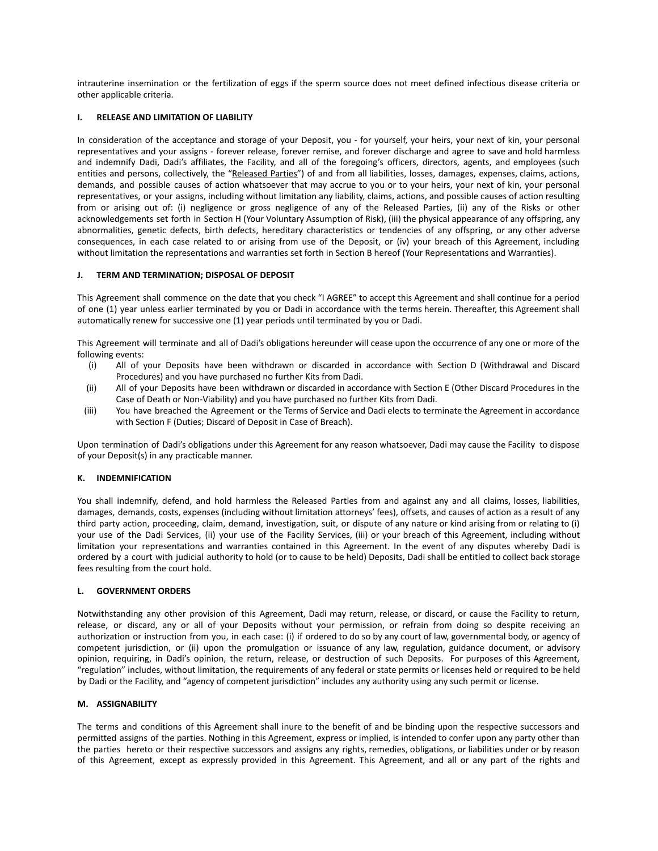intrauterine insemination or the fertilization of eggs if the sperm source does not meet defined infectious disease criteria or other applicable criteria.

### **I. RELEASE AND LIMITATION OF LIABILITY**

In consideration of the acceptance and storage of your Deposit, you - for yourself, your heirs, your next of kin, your personal representatives and your assigns - forever release, forever remise, and forever discharge and agree to save and hold harmless and indemnify Dadi, Dadi's affiliates, the Facility, and all of the foregoing's officers, directors, agents, and employees (such entities and persons, collectively, the "Released Parties") of and from all liabilities, losses, damages, expenses, claims, actions, demands, and possible causes of action whatsoever that may accrue to you or to your heirs, your next of kin, your personal representatives, or your assigns, including without limitation any liability, claims, actions, and possible causes of action resulting from or arising out of: (i) negligence or gross negligence of any of the Released Parties, (ii) any of the Risks or other acknowledgements set forth in Section H (Your Voluntary Assumption of Risk), (iii) the physical appearance of any offspring, any abnormalities, genetic defects, birth defects, hereditary characteristics or tendencies of any offspring, or any other adverse consequences, in each case related to or arising from use of the Deposit, or (iv) your breach of this Agreement, including without limitation the representations and warranties set forth in Section B hereof (Your Representations and Warranties).

## **J. TERM AND TERMINATION; DISPOSAL OF DEPOSIT**

This Agreement shall commence on the date that you check "I AGREE" to accept this Agreement and shall continue for a period of one (1) year unless earlier terminated by you or Dadi in accordance with the terms herein. Thereafter, this Agreement shall automatically renew for successive one (1) year periods until terminated by you or Dadi.

This Agreement will terminate and all of Dadi's obligations hereunder will cease upon the occurrence of any one or more of the following events:

- (i) All of your Deposits have been withdrawn or discarded in accordance with Section D (Withdrawal and Discard Procedures) and you have purchased no further Kits from Dadi.
- (ii) All of your Deposits have been withdrawn or discarded in accordance with Section E (Other Discard Procedures in the Case of Death or Non-Viability) and you have purchased no further Kits from Dadi.
- (iii) You have breached the Agreement or the Terms of Service and Dadi elects to terminate the Agreement in accordance with Section F (Duties; Discard of Deposit in Case of Breach).

Upon termination of Dadi's obligations under this Agreement for any reason whatsoever, Dadi may cause the Facility to dispose of your Deposit(s) in any practicable manner.

### **K. INDEMNIFICATION**

You shall indemnify, defend, and hold harmless the Released Parties from and against any and all claims, losses, liabilities, damages, demands, costs, expenses (including without limitation attorneys' fees), offsets, and causes of action as a result of any third party action, proceeding, claim, demand, investigation, suit, or dispute of any nature or kind arising from or relating to (i) your use of the Dadi Services, (ii) your use of the Facility Services, (iii) or your breach of this Agreement, including without limitation your representations and warranties contained in this Agreement. In the event of any disputes whereby Dadi is ordered by a court with judicial authority to hold (or to cause to be held) Deposits, Dadi shall be entitled to collect back storage fees resulting from the court hold.

## **L. GOVERNMENT ORDERS**

Notwithstanding any other provision of this Agreement, Dadi may return, release, or discard, or cause the Facility to return, release, or discard, any or all of your Deposits without your permission, or refrain from doing so despite receiving an authorization or instruction from you, in each case: (i) if ordered to do so by any court of law, governmental body, or agency of competent jurisdiction, or (ii) upon the promulgation or issuance of any law, regulation, guidance document, or advisory opinion, requiring, in Dadi's opinion, the return, release, or destruction of such Deposits. For purposes of this Agreement, "regulation" includes, without limitation, the requirements of any federal or state permits or licenses held or required to be held by Dadi or the Facility, and "agency of competent jurisdiction" includes any authority using any such permit or license.

### **M. ASSIGNABILITY**

The terms and conditions of this Agreement shall inure to the benefit of and be binding upon the respective successors and permitted assigns of the parties. Nothing in this Agreement, express or implied, is intended to confer upon any party other than the parties hereto or their respective successors and assigns any rights, remedies, obligations, or liabilities under or by reason of this Agreement, except as expressly provided in this Agreement. This Agreement, and all or any part of the rights and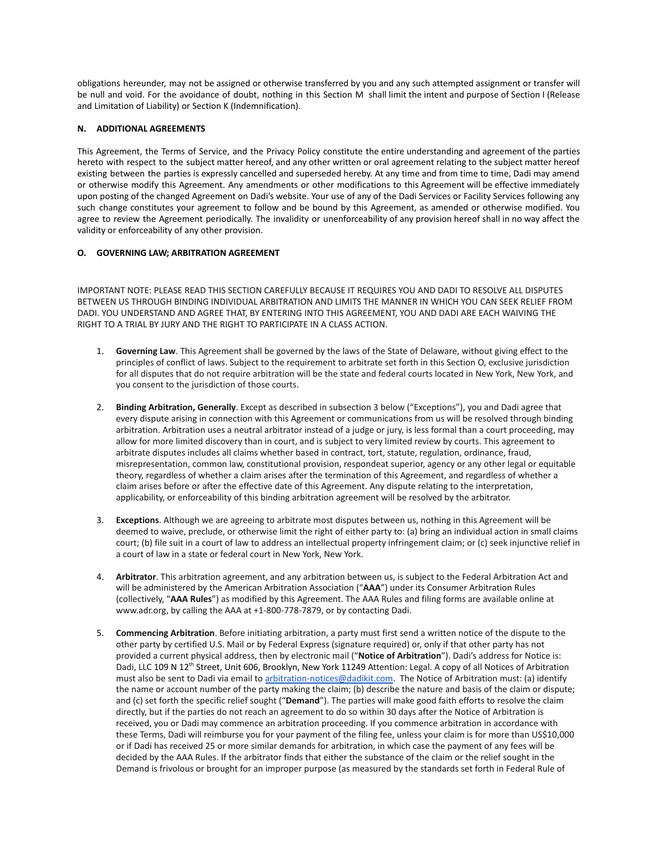obligations hereunder, may not be assigned or otherwise transferred by you and any such attempted assignment or transfer will be null and void. For the avoidance of doubt, nothing in this Section M shall limit the intent and purpose of Section I (Release and Limitation of Liability) or Section K (Indemnification).

## **N. ADDITIONAL AGREEMENTS**

This Agreement, the Terms of Service, and the Privacy Policy constitute the entire understanding and agreement of the parties hereto with respect to the subject matter hereof, and any other written or oral agreement relating to the subject matter hereof existing between the parties is expressly cancelled and superseded hereby. At any time and from time to time, Dadi may amend or otherwise modify this Agreement. Any amendments or other modifications to this Agreement will be effective immediately upon posting of the changed Agreement on Dadi's website. Your use of any of the Dadi Services or Facility Services following any such change constitutes your agreement to follow and be bound by this Agreement, as amended or otherwise modified. You agree to review the Agreement periodically. The invalidity or unenforceability of any provision hereof shall in no way affect the validity or enforceability of any other provision.

## **O. GOVERNING LAW; ARBITRATION AGREEMENT**

IMPORTANT NOTE: PLEASE READ THIS SECTION CAREFULLY BECAUSE IT REQUIRES YOU AND DADI TO RESOLVE ALL DISPUTES BETWEEN US THROUGH BINDING INDIVIDUAL ARBITRATION AND LIMITS THE MANNER IN WHICH YOU CAN SEEK RELIEF FROM DADI. YOU UNDERSTAND AND AGREE THAT, BY ENTERING INTO THIS AGREEMENT, YOU AND DADI ARE EACH WAIVING THE RIGHT TO A TRIAL BY JURY AND THE RIGHT TO PARTICIPATE IN A CLASS ACTION.

- 1. **Governing Law**. This Agreement shall be governed by the laws of the State of Delaware, without giving effect to the principles of conflict of laws. Subject to the requirement to arbitrate set forth in this Section O, exclusive jurisdiction for all disputes that do not require arbitration will be the state and federal courts located in New York, New York, and you consent to the jurisdiction of those courts.
- 2. **Binding Arbitration, Generally**. Except as described in subsection 3 below ("Exceptions"), you and Dadi agree that every dispute arising in connection with this Agreement or communications from us will be resolved through binding arbitration. Arbitration uses a neutral arbitrator instead of a judge or jury, is less formal than a court proceeding, may allow for more limited discovery than in court, and is subject to very limited review by courts. This agreement to arbitrate disputes includes all claims whether based in contract, tort, statute, regulation, ordinance, fraud, misrepresentation, common law, constitutional provision, respondeat superior, agency or any other legal or equitable theory, regardless of whether a claim arises after the termination of this Agreement, and regardless of whether a claim arises before or after the effective date of this Agreement. Any dispute relating to the interpretation, applicability, or enforceability of this binding arbitration agreement will be resolved by the arbitrator.
- 3. **Exceptions**. Although we are agreeing to arbitrate most disputes between us, nothing in this Agreement will be deemed to waive, preclude, or otherwise limit the right of either party to: (a) bring an individual action in small claims court; (b) file suit in a court of law to address an intellectual property infringement claim; or (c) seek injunctive relief in a court of law in a state or federal court in New York, New York.
- 4. **Arbitrator**. This arbitration agreement, and any arbitration between us, is subject to the Federal Arbitration Act and will be administered by the American Arbitration Association ("**AAA**") under its Consumer Arbitration Rules (collectively, "**AAA Rules**") as modified by this Agreement. The AAA Rules and filing forms are available online at www.adr.org, by calling the AAA at +1-800-778-7879, or by contacting Dadi.
- 5. **Commencing Arbitration**. Before initiating arbitration, a party must first send a written notice of the dispute to the other party by certified U.S. Mail or by Federal Express (signature required) or, only if that other party has not provided a current physical address, then by electronic mail ("**Notice of Arbitration**"). Dadi's address for Notice is: Dadi, LLC 109 N 12<sup>th</sup> Street, Unit 606, Brooklyn, New York 11249 Attention: Legal. A copy of all Notices of Arbitration must also be sent to Dadi via email to [arbitration-notices@dadikit.com.](mailto:arbitration-notices@ro.co) The Notice of Arbitration must: (a) identify the name or account number of the party making the claim; (b) describe the nature and basis of the claim or dispute; and (c) set forth the specific relief sought ("**Demand**"). The parties will make good faith efforts to resolve the claim directly, but if the parties do not reach an agreement to do so within 30 days after the Notice of Arbitration is received, you or Dadi may commence an arbitration proceeding. If you commence arbitration in accordance with these Terms, Dadi will reimburse you for your payment of the filing fee, unless your claim is for more than US\$10,000 or if Dadi has received 25 or more similar demands for arbitration, in which case the payment of any fees will be decided by the AAA Rules. If the arbitrator finds that either the substance of the claim or the relief sought in the Demand is frivolous or brought for an improper purpose (as measured by the standards set forth in Federal Rule of